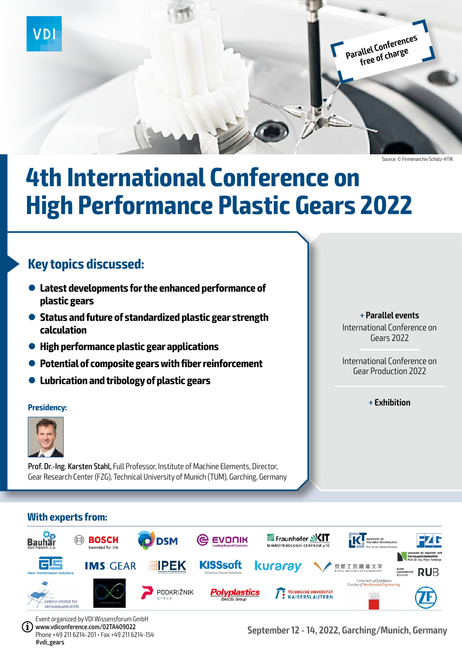

**Parallel Conferences free of charge**

Source: © Firmenarchiv Scholz-HTIK

# **4th International Conference on High Performance Plastic Gears 2022**

## **Key topics discussed:**

- $\bullet$  Latest developments for the enhanced performance of **plastic gears**
- l **Status and future of standardized plastic gear strength calculation**
- l **High performance plastic gear applications**
- **Potential of composite gears with fiber reinforcement**
- l **Lubrication and tribology of plastic gears**

#### **Presidency:**



Prof. Dr.-Ing. Karsten Stahl, Full Professor, Institute of Machine Elements, Director, Gear Research Center (FZG), Technical University of Munich (TUM), Garching, Germany

### **+ Parallel events**

International Conference on Gears 2022

International Conference on Gear Production 2022

**+ Exhibition**

### **With experts from:**



Event organized by VDI Wissensforum GmbH www.vdiconference.com/02TA409022 Phone +49 211 6214-201 • Fax +49 211 6214-154 #vdi\_gears

**September 12 - 14, 2022, Garching/Munich, Germany**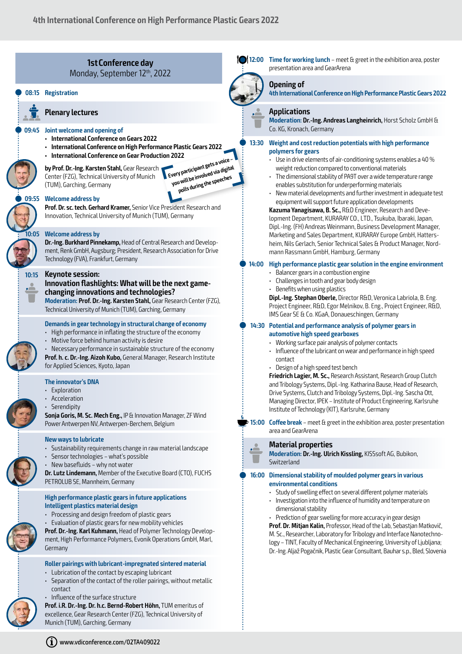

excellence, Gear Research Center (FZG), Technical University of Munich (TUM), Garching, Germany



#### **Opening of**

**4th International Conference on High Performance Plastic Gears 2022**

#### **Applications**

**Moderation: Dr.-Ing. Andreas Langheinrich,** Horst Scholz GmbH & Co. KG, Kronach, Germany

Q **13:30 Weight and cost reduction potentials with high performance polymers for gears**

- Use in drive elements of air-conditioning systems enables a 40 % weight reduction compared to conventional materials
- The dimensional stability of PA9T over a wide temperature range enables substitution for underperforming materials
- New material developments and further investment in adequate test equipment will support future application developments

**Kazuma Yanagisawa, B. Sc.,** R&D Engineer, Research and Development Department, KURARAY CO., LTD., Tsukuba, Ibaraki, Japan, Dipl.-Ing. (FH) Andreas Weinmann, Business Development Manager, Marketing and Sales Department, KURARAY Europe GmbH, Hattersheim, Nils Gerlach, Senior Technical Sales & Product Manager, Nordmann Rassmann GmbH, Hamburg, Germany

#### Q **14:00 High performance plastic gear solution in the engine environment**

- Balancer gears in a combustion engine
- Challenges in tooth and gear body design
- Benefits when using plastics

**Dipl.-Ing. Stephan Oberle,** Director R&D, Veronica Labriola, B. Eng. Project Engineer, R&D, Egor Melnikov, B. Eng., Project Engineer, R&D, IMS Gear SE & Co. KGaA, Donaueschingen, Germany

#### Q **14:30 Potential and performance analysis of polymer gears in automotive high speed gearboxes**

- Working surface pair analysis of polymer contacts
- 
- Influence of the lubricant on wear and performance in high speed contact
- Design of a high speed test bench

**Friedrich Lagier, M. Sc.,** Research Assistant, Research Group Clutch and Tribology Systems, Dipl.-Ing. Katharina Bause, Head of Research, Drive Systems, Clutch and Tribology Systems, Dipl.-Ing. Sascha Ott, Managing Director, IPEK – Institute of Product Engineering, Karlsruhe Institute of Technology (KIT), Karlsruhe, Germany

**15:00 Coffee break** – meet & greet in the exhibition area, poster presentation area and GearArena

#### **Material properties**

**Moderation: Dr.-Ing. Ulrich Kissling,** KISSsoft AG, Bubikon, Switzerland

#### Q **16:00 Dimensional stability of moulded polymer gears in various environmental conditions**

- Study of swelling effect on several different polymer materials
- Investigation into the influence of humidity and temperature on dimensional stability

• Prediction of gear swelling for more accuracy in gear design **Prof. Dr. Mitjan Kalin,** Professor, Head of the Lab, Sebastjan Matkovič, M. Sc., Researcher, Laboratory for Tribology and Interface Nanotechnology – TINT, Faculty of Mechanical Engineering, University of Ljubljana; Dr.-Ing. Aljaž Pogačnik, Plastic Gear Consultant, Bauhar s.p., Bled, Slovenia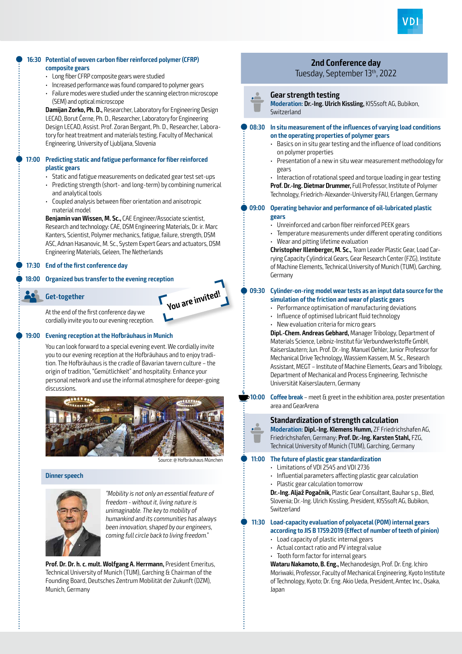

#### Q **16:30 Potential of woven carbon fiber reinforced polymer (CFRP) composite gears**

- Long fiber CFRP composite gears were studied
- Increased performance was found compared to polymer gears
- Failure modes were studied under the scanning electron microscope (SEM) and optical microscope

**Damijan Zorko, Ph. D.,** Researcher, Laboratory for Engineering Design LECAD, Borut Černe, Ph. D., Researcher, Laboratory for Engineering Design LECAD, Assist. Prof. Zoran Bergant, Ph. D., Researcher, Laboratory for heat treatment and materials testing, Faculty of Mechanical Engineering, University of Ljubljana, Slovenia

#### Q **17:00 Predicting static and fatigue performance for fiber reinforced plastic gears**

- Static and fatigue measurements on dedicated gear test set-ups
- Predicting strength (short- and long-term) by combining numerical and analytical tools
- Coupled analysis between fiber orientation and anisotropic material model

**Benjamin van Wissen, M. Sc.,** CAE Engineer/Associate scientist, Research and technology: CAE, DSM Engineering Materials, Dr. ir. Marc Kanters, Scientist, Polymer mechanics, fatigue, failure, strength, DSM ASC, Adnan Hasanovic, M. Sc., System Expert Gears and actuators, DSM Engineering Materials, Geleen, The Netherlands

#### Q **17:30 End of the first conference day**

#### Q **18:00 Organized bus transfer to the evening reception**



You are invited!

At the end of the first conference day we cordially invite you to our evening reception.

#### Q **19:00 Evening reception at the Hofbräuhaus in Munich**

You can look forward to a special evening event. We cordially invite you to our evening reception at the Hofbräuhaus and to enjoy tradition. The Hofbräuhaus is the cradle of Bavarian tavern culture – the origin of tradition, "Gemütlichkeit" and hospitality. Enhance your personal network and use the informal atmosphere for deeper-going discussions.



Source: @ Hofbräuhaus München

ŧ

#### **Dinner speech**



ŧ

"Mobility is not only an essential feature of freedom - without it, living nature is unimaginable. The key to mobility of humankind and its communities has always been innovation, shaped by our engineers, coming full circle back to living freedom."

**Prof. Dr. Dr. h. c. mult. Wolfgang A. Herrmann,** President Emeritus, Technical University of Munich (TUM), Garching & Chairman of the Founding Board, Deutsches Zentrum Mobilität der Zukunft (DZM), Munich, Germany

## **2nd Conference day**

### Tuesday, September 13th, 2022

#### **Gear strength testing**

**Moderation: Dr.-Ing. Ulrich Kissling,** KISSsoft AG, Bubikon, **Switzerland** 

#### Q **08:30 In situ measurement of the influences of varying load conditions on the operating properties of polymer gears**

- Basics on in situ gear testing and the influence of load conditions on polymer properties
- Presentation of a new in situ wear measurement methodology for gears

• Interaction of rotational speed and torque loading in gear testing **Prof. Dr.-Ing. Dietmar Drummer,** Full Professor, Institute of Polymer Technology, Friedrich-Alexander-University FAU, Erlangen, Germany

#### Q **09:00 Operating behavior and performance of oil-lubricated plastic gears**

- Unreinforced and carbon fiber reinforced PEEK gears
- Temperature measurements under different operating conditions
- Wear and pitting lifetime evaluation

**Christopher Illenberger, M. Sc.,** Team Leader Plastic Gear, Load Carrying Capacity Cylindrical Gears, Gear Research Center (FZG), Institute of Machine Elements, Technical University of Munich (TUM), Garching, Germany

#### Q **09:30 Cylinder-on-ring model wear tests as an input data source for the simulation of the friction and wear of plastic gears**

- Performance optimisation of manufacturing deviations
- Influence of optimised lubricant fluid technology
- New evaluation criteria for micro gears

**Dipl.-Chem. Andreas Gebhard,** Manager Tribology, Department of Materials Science, Leibniz-Institut für Verbundwerkstoffe GmbH, Kaiserslautern; Jun. Prof. Dr.-Ing. Manuel Oehler, Junior Professor for Mechanical Drive Technology, Wassiem Kassem, M. Sc., Research Assistant, MEGT – Institute of Machine Elements, Gears and Tribology, Department of Mechanical and Process Engineering, Technische Universität Kaiserslautern, Germany

**10:00 Coffee break** – meet & greet in the exhibition area, poster presentation area and GearArena

#### **Standardization of strength calculation**

**Moderation: Dipl.-Ing. Klemens Humm,** ZF Friedrichshafen AG, Friedrichshafen, Germany; **Prof. Dr.-Ing. Karsten Stahl,** FZG, Technical University of Munich (TUM), Garching, Germany

#### Q **11:00 The future of plastic gear standardization**

- Limitations of VDI 2545 and VDI 2736
- Influential parameters affecting plastic gear calculation
- Plastic gear calculation tomorrow

**Dr.-Ing. Aljaž Pogačnik,** Plastic Gear Consultant, Bauhar s.p., Bled, Slovenia; Dr.-Ing. Ulrich Kissling, President, KISSsoft AG, Bubikon, Switzerland

#### Q **11:30 Load-capacity evaluation of polyacetal (POM) internal gears according to JIS B 1759:2019 (Effect of number of teeth of pinion)**

- Load capacity of plastic internal gears
- Actual contact ratio and PV integral value
- Tooth form factor for internal gears

**Wataru Nakamoto, B. Eng.,** Mechanodesign, Prof. Dr. Eng. Ichiro Moriwaki, Professor, Faculty of Mechanical Engineering, Kyoto Institute of Technology, Kyoto; Dr. Eng. Akio Ueda, President, Amtec Inc., Osaka, Japan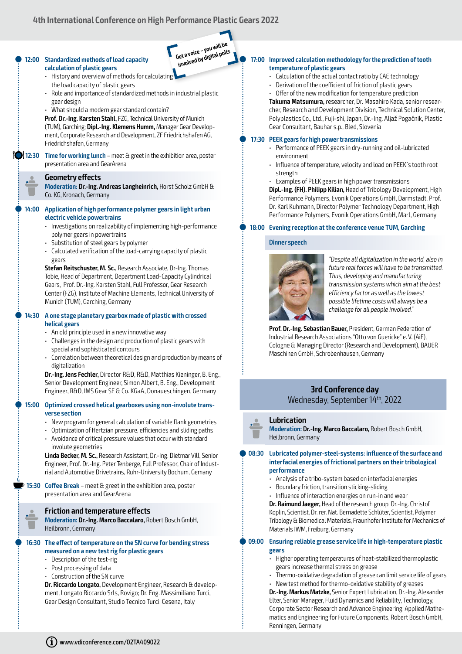### **4th International Conference on High Performance Plastic Gears 2022**





- polymer gears in powertrains
- Substitution of steel gears by polymer
- Calculated verification of the load-carrying capacity of plastic gears

**Stefan Reitschuster, M. Sc.,** Research Associate, Dr-Ing. Thomas Tobie, Head of Department, Department Load-Capacity Cylindrical Gears, Prof. Dr.-Ing. Karsten Stahl, Full Professor, Gear Research Center (FZG), Institute of Machine Elements, Technical University of Munich (TUM), Garching, Germany

#### Q **14:30 A one stage planetary gearbox made of plastic with crossed helical gears**

- An old principle used in a new innovative way
- Challenges in the design and production of plastic gears with special and sophisticated contours
- Correlation between theoretical design and production by means of digitalization

**Dr.-Ing. Jens Fechler,** Director R&D, R&D, Matthias Kieninger, B. Eng., Senior Development Engineer, Simon Albert, B. Eng., Development Engineer, R&D, IMS Gear SE & Co. KGaA, Donaueschingen, Germany

#### Q **15:00 Optimized crossed helical gearboxes using non-involute transverse section**

- New program for general calculation of variable flank geometries
- Optimization of Hertzian pressure, efficiencies and sliding paths
- Avoidance of critical pressure values that occur with standard involute geometries

**Linda Becker, M. Sc.,** Research Assistant, Dr.-Ing. Dietmar Vill, Senior Engineer, Prof. Dr.-Ing. Peter Tenberge, Full Professor, Chair of Industrial and Automotive Drivetrains, Ruhr-University Bochum, Gemany

**15:30 Coffee Break** – meet & greet in the exhibition area, poster presentation area and GearArena

#### **Friction and temperature effects**

**Moderation: Dr.-Ing. Marco Baccalaro,** Robert Bosch GmbH, Heilbronn, Germany

#### Q **16:30 The effect of temperature on the SN curve for bending stress measured on a new test rig for plastic gears**

- Description of the test-rig
- Post processing of data
- Construction of the SN curve

**Dr. Riccardo Longato,** Development Engineer, Research & development, Longato Riccardo Srls, Rovigo; Dr. Eng. Massimiliano Turci, Gear Design Consultant, Studio Tecnico Turci, Cesena, Italy

#### Q **17:00 Improved calculation methodology for the prediction of tooth temperature of plastic gears**

- Calculation of the actual contact ratio by CAE technology
- Derivation of the coefficient of friction of plastic gears
- Offer of the new modification for temperature prediction

**Takuma Matsumura,** researcher, Dr. Masahiro Kada, senior researcher, Research and Development Division, Technical Solution Center, Polyplastics Co., Ltd., Fuji-shi, Japan, Dr.-Ing. Aljaž Pogačnik, Plastic Gear Consultant, Bauhar s.p., Bled, Slovenia

#### Q **17:30 PEEK gears for high power transmissions**

- Performance of PEEK gears in dry-running and oil-lubricated environment
- Influence of temperature, velocity and load on PEEK´s tooth root strength
- Examples of PEEK gears in high power transmissions

**Dipl.-Ing. (FH). Philipp Kilian,** Head of Tribology Development, High Performance Polymers, Evonik Operations GmbH, Darmstadt, Prof. Dr. Karl Kuhmann, Director Polymer Technology Department, High Performance Polymers, Evonik Operations GmbH, Marl, Germany

#### Q **18:00 Evening reception at the conference venue TUM, Garching**

#### **Dinner speech**



"Despite all digitalization in the world, also in future real forces will have to be transmitted. Thus, developing and manufacturing transmission systems which aim at the best efficiency factor as well as the lowest possible lifetime costs will always be a challenge for all people involved."

**Prof. Dr.-Ing. Sebastian Bauer,** President, German Federation of Industrial Research Associations "Otto von Guericke" e. V. (AiF), Cologne & Managing Director (Research and Development), BAUER Maschinen GmbH, Schrobenhausen, Germany

#### **3rd Conference day** Wednesday, September 14th, 2022

#### **Lubrication**

t

**Moderation: Dr.-Ing. Marco Baccalaro,** Robert Bosch GmbH, Heilbronn, Germany

#### Q **08:30 Lubricated polymer-steel-systems: influence of the surface and interfacial energies of frictional partners on their tribological performance**

- Analysis of a tribo-system based on interfacial energies
- Boundary friction, transition sticking-sliding
- Influence of interaction energies on run-in and wear

**Dr. Raimund Jaeger,** Head of the research group, Dr.-Ing. Christof Koplin, Scientist, Dr. rer. Nat. Bernadette Schlüter, Scientist, Polymer Tribology & Biomedical Materials, Fraunhofer Institute for Mechanics of Materials IWM, Freiburg, Germany

#### Q **09:00 Ensuring reliable grease service life in high-temperature plastic gears**

- Higher operating temperatures of heat-stabilized thermoplastic gears increase thermal stress on grease
- Thermo-oxidative degradation of grease can limit service life of gears
- New test method for thermo-oxidative stability of greases

**Dr.-Ing. Markus Matzke,** Senior Expert Lubrication, Dr.-Ing. Alexander Elter, Senior Manager, Fluid Dynamics and Reliability, Technology, Corporate Sector Research and Advance Engineering, Applied Mathematics and Engineering for Future Components, Robert Bosch GmbH, Renningen, Germany

#### $(i)$  www.vdiconference.com/02TA409022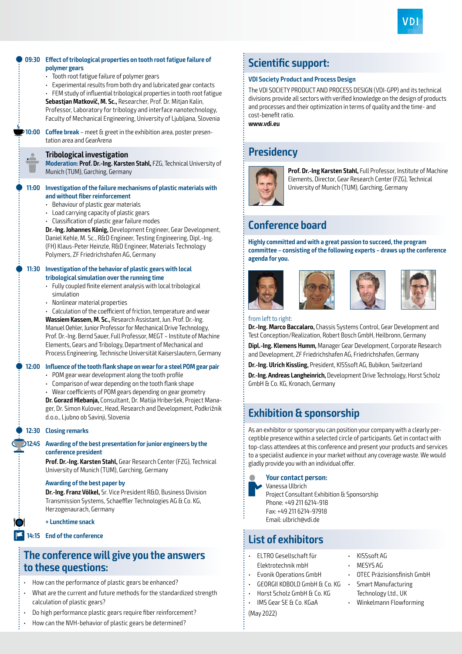



## **The conference will give you the answers to these questions:**

- How can the performance of plastic gears be enhanced?
- What are the current and future methods for the standardized strength calculation of plastic gears?
- Do high performance plastic gears require fiber reinforcement?
- How can the NVH-behavior of plastic gears be determined?

## **Scientific support:**

#### **VDI Society Product and Process Design**

The VDI SOCIETY PRODUCT AND PROCESS DESIGN (VDI-GPP) and its technical divisions provide all sectors with verified knowledge on the design of products and processes and their optimization in terms of quality and the time- and cost-benefit ratio.

**www.vdi.eu**

## **Presidency**



**Prof. Dr.-Ing Karsten Stahl,** Full Professor, Institute of Machine Elements, Director, Gear Research Center (FZG), Technical University of Munich (TUM), Garching, Germany

## **Conference board**

**Highly committed and with a great passion to succeed, the program committee – consisting of the following experts – draws up the conference agenda for you.**







from left to right:

**Dr.-Ing. Marco Baccalaro,** Chassis Systems Control, Gear Development and Test Conception/Realization, Robert Bosch GmbH, Heilbronn, Germany

**Dipl.-Ing. Klemens Humm,** Manager Gear Development, Corporate Research and Development, ZF Friedrichshafen AG, Friedrichshafen, Germany

**Dr.-Ing. Ulrich Kissling,** President, KISSsoft AG, Bubikon, Switzerland

**Dr.-Ing. Andreas Langheinrich,** Development Drive Technology, Horst Scholz GmbH & Co. KG, Kronach, Germany

## **Exhibition & sponsorship**

As an exhibitor or sponsor you can position your company with a clearly perceptible presence within a selected circle of participants. Get in contact with top-class attendees at this conference and present your products and services to a specialist audience in your market without any coverage waste. We would gladly provide you with an individual offer.



**Your contact person:**

Vanessa Ulbrich Project Consultant Exhibition & Sponsorship Phone: +49 211 6214-918 Fax: +49 211 6214-97918 Email: ulbrich@vdi.de

## **List of exhibitors**

- ELTRO Gesellschaft für
- Elektrotechnik mbH
- Evonik Operations GmbH
- GEORGII KOBOLD GmbH & Co. KG
- Horst Scholz GmbH & Co. KG
- 
- KISSsoft AG
- MESYS AG
	- OTEC Präzisionsfinish GmbH
- Smart Manufacturing Technology Ltd., UK
	- Winkelmann Flowforming

(May 2022)

- 
- IMS Gear SE & Co. KGaA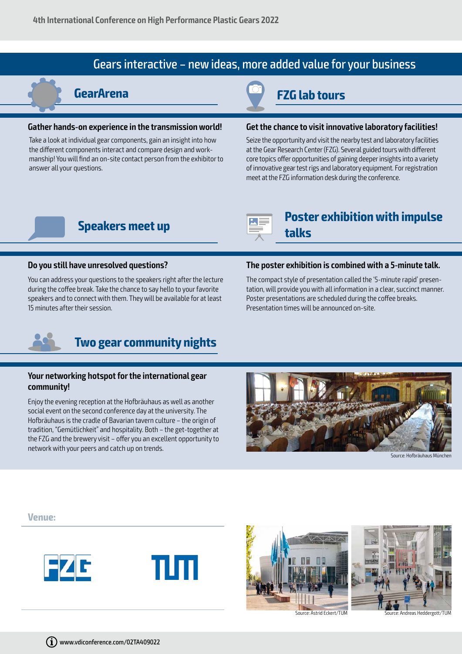## Gears interactive – new ideas, more added value for your business

#### **Gather hands-on experience in the transmission world!**

Take a look at individual gear components, gain an insight into how the different components interact and compare design and workmanship! You will find an on-site contact person from the exhibitor to answer all your questions.

## **GearArena FZG lab tours**

**talks**

#### **Get the chance to visit innovative laboratory facilities!**

Seize the opportunity and visit the nearby test and laboratory facilities at the Gear Research Center (FZG). Several guided tours with different core topics offer opportunities of gaining deeper insights into a variety of innovative gear test rigs and laboratory equipment. For registration meet at the FZG information desk during the conference.

## **Speakers meet up Poster exhibition with impulse**

#### **Do you still have unresolved questions?**

You can address your questions to the speakers right after the lecture during the coffee break. Take the chance to say hello to your favorite speakers and to connect with them. They will be available for at least 15 minutes after their session.

#### **The poster exhibition is combined with a 5-minute talk.**

The compact style of presentation called the '5-minute rapid' presentation, will provide you with all information in a clear, succinct manner. Poster presentations are scheduled during the coffee breaks. Presentation times will be announced on-site.



## **Two gear community nights**

#### **Your networking hotspot for the international gear community!**

Enjoy the evening reception at the Hofbräuhaus as well as another social event on the second conference day at the university. The Hofbräuhaus is the cradle of Bavarian tavern culture – the origin of tradition, "Gemütlichkeit" and hospitality. Both – the get-together at the FZG and the brewery visit – offer you an excellent opportunity to network with your peers and catch up on trends.



Source: Hofbräuhaus München

**Venue:**









Source: Astrid Eckert/TUM Source: Andreas Heddergott/TUM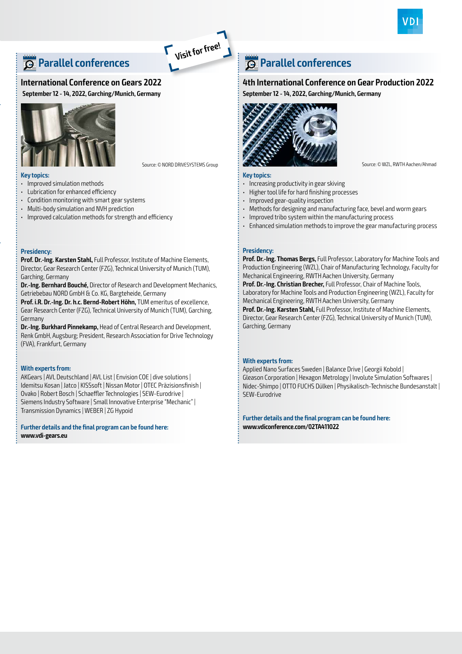

## **Parallel conferences**

#### **International Conference on Gears 2022**

**September 12 - 14, 2022, Garching/Munich, Germany**



**Visit for free!**

#### **Key topics:**

- Improved simulation methods
- Lubrication for enhanced efficiency
- Condition monitoring with smart gear systems
- Multi-body simulation and NVH prediction
- Improved calculation methods for strength and efficiency

#### **Presidency:**

**Prof. Dr.-Ing. Karsten Stahl,** Full Professor, Institute of Machine Elements, Director, Gear Research Center (FZG), Technical University of Munich (TUM), Garching, Germany

**Dr.-Ing. Bernhard Bouché,** Director of Research and Development Mechanics, Getriebebau NORD GmbH & Co. KG, Bargteheide, Germany

**Prof. i.R. Dr.-Ing. Dr. h.c. Bernd-Robert Höhn,** TUM emeritus of excellence, Gear Research Center (FZG), Technical University of Munich (TUM), Garching, Germany

**Dr.-Ing. Burkhard Pinnekamp,** Head of Central Research and Development, Renk GmbH, Augsburg; President, Research Association for Drive Technology (FVA), Frankfurt, Germany

#### **With experts from:**

AKGears | AVL Deutschland | AVL List | Envision COE | dive solutions | Idemitsu Kosan | Jatco | KISSsoft | Nissan Motor | OTEC Präzisionsfinish | Ovako | Robert Bosch | Schaeffler Technologies | SEW-Eurodrive | Siemens Industry Software | Small Innovative Enterprise "Mechanic" | Transmission Dynamics | WEBER | ZG Hypoid

**Further details and the final program can be found here: www.vdi-gears.eu**

## **Parallel conferences**

#### **4th International Conference on Gear Production 2022**

**September 12 - 14, 2022, Garching/Munich, Germany**



#### **Key topics:**

- Increasing productivity in gear skiving
- Higher tool life for hard finishing processes
- Improved gear-quality inspection
- Methods for designing and manufacturing face, bevel and worm gears
- Improved tribo system within the manufacturing process
- Enhanced simulation methods to improve the gear manufacturing process

#### **Presidency:**

**Prof. Dr.-Ing. Thomas Bergs,** Full Professor, Laboratory for Machine Tools and Production Engineering (WZL), Chair of Manufacturing Technology, Faculty for Mechanical Engineering, RWTH Aachen University, Germany

**Prof. Dr.-Ing. Christian Brecher,** Full Professor, Chair of Machine Tools, Laboratory for Machine Tools and Production Engineering (WZL), Faculty for Mechanical Engineering, RWTH Aachen University, Germany

**Prof. Dr.-Ing. Karsten Stahl,** Full Professor, Institute of Machine Elements, Director, Gear Research Center (FZG), Technical University of Munich (TUM), Garching, Germany

#### **With experts from:**

Applied Nano Surfaces Sweden | Balance Drive | Georgii Kobold | Gleason Corporation | Hexagon Metrology | Involute Simulation Softwares | Nidec-Shimpo | OTTO FUCHS Dülken | Physikalisch-Technische Bundesanstalt | SEW-Eurodrive

**Further details and the final program can be found here: www.vdiconference.com/02TA411022**